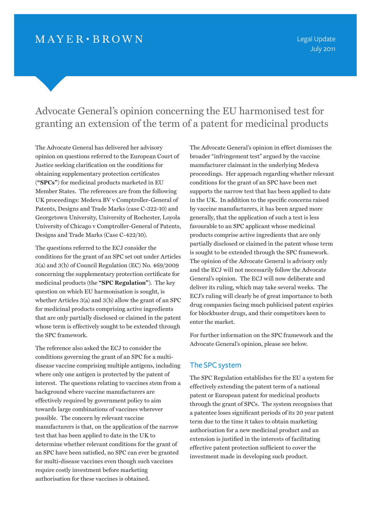## $MAYER \cdot BROWN$

Legal Update July 2011

# Advocate General's opinion concerning the EU harmonised test for granting an extension of the term of a patent for medicinal products

The Advocate General has delivered her advisory opinion on questions referred to the European Court of Justice seeking clarification on the conditions for obtaining supplementary protection certificates (**"SPCs"**) for medicinal products marketed in EU Member States. The references are from the following UK proceedings: Medeva BV v Comptroller-General of Patents, Designs and Trade Marks (case C-322-10) and Georgetown University, University of Rochester, Loyola University of Chicago v Comptroller-General of Patents, Designs and Trade Marks (Case C-422/10).

The questions referred to the ECJ consider the conditions for the grant of an SPC set out under Articles 3(a) and 3(b) of Council Regulation (EC) No. 469/2009 concerning the supplementary protection certificate for medicinal products (the **"SPC Regulation"**). The key question on which EU harmonisation is sought, is whether Articles 3(a) and 3(b) allow the grant of an SPC for medicinal products comprising active ingredients that are only partially disclosed or claimed in the patent whose term is effectively sought to be extended through the SPC framework.

The reference also asked the ECJ to consider the conditions governing the grant of an SPC for a multidisease vaccine comprising multiple antigens, including where only one antigen is protected by the patent of interest. The questions relating to vaccines stem from a background where vaccine manufacturers are effectively required by government policy to aim towards large combinations of vaccines wherever possible. The concern by relevant vaccine manufacturers is that, on the application of the narrow test that has been applied to date in the UK to determine whether relevant conditions for the grant of an SPC have been satisfied, no SPC can ever be granted for multi-disease vaccines even though such vaccines require costly investment before marketing authorisation for these vaccines is obtained.

The Advocate General's opinion in effect dismisses the broader "infringement test" argued by the vaccine manufacturer claimant in the underlying Medeva proceedings. Her approach regarding whether relevant conditions for the grant of an SPC have been met supports the narrow test that has been applied to date in the UK. In addition to the specific concerns raised by vaccine manufacturers, it has been argued more generally, that the application of such a test is less favourable to an SPC applicant whose medicinal products comprise active ingredients that are only partially disclosed or claimed in the patent whose term is sought to be extended through the SPC framework. The opinion of the Advocate General is advisory only and the ECJ will not necessarily follow the Advocate General's opinion. The ECJ will now deliberate and deliver its ruling, which may take several weeks. The ECJ's ruling will clearly be of great importance to both drug companies facing much publicised patent expiries for blockbuster drugs, and their competitors keen to enter the market.

For further information on the SPC framework and the Advocate General's opinion, please see below.

#### The SPC system

The SPC Regulation establishes for the EU a system for effectively extending the patent term of a national patent or European patent for medicinal products through the grant of SPCs. The system recognises that a patentee loses significant periods of its 20 year patent term due to the time it takes to obtain marketing authorisation for a new medicinal product and an extension is justified in the interests of facilitating effective patent protection sufficient to cover the investment made in developing such product.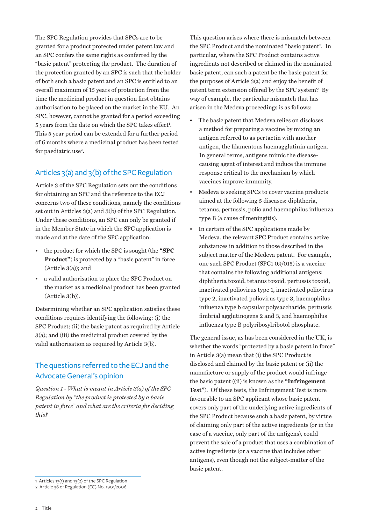The SPC Regulation provides that SPCs are to be granted for a product protected under patent law and an SPC confers the same rights as conferred by the "basic patent" protecting the product. The duration of the protection granted by an SPC is such that the holder of both such a basic patent and an SPC is entitled to an overall maximum of 15 years of protection from the time the medicinal product in question first obtains authorisation to be placed on the market in the EU. An SPC, however, cannot be granted for a period exceeding 5 years from the date on which the SPC takes effect<sup>1</sup>. This 5 year period can be extended for a further period of 6 months where a medicinal product has been tested for paediatric use<sup>2</sup>.

### Articles 3(a) and 3(b) of the SPC Regulation

Article 3 of the SPC Regulation sets out the conditions for obtaining an SPC and the reference to the ECJ concerns two of these conditions, namely the conditions set out in Articles 3(a) and 3(b) of the SPC Regulation. Under these conditions, an SPC can only be granted if in the Member State in which the SPC application is made and at the date of the SPC application:

- the product for which the SPC is sought (the **"SPC Product**") is protected by a "basic patent" in force (Article 3(a)); and
- a valid authorisation to place the SPC Product on the market as a medicinal product has been granted (Article 3(b)).

Determining whether an SPC application satisfies these conditions requires identifying the following: (i) the SPC Product; (ii) the basic patent as required by Article 3(a); and (iii) the medicinal product covered by the valid authorisation as required by Article 3(b).

### The questions referred to the ECJ and the Advocate General's opinion

*Question 1 - What is meant in Article 3(a) of the SPC Regulation by "the product is protected by a basic patent in force" and what are the criteria for deciding this?*

This question arises where there is mismatch between the SPC Product and the nominated "basic patent". In particular, where the SPC Product contains active ingredients not described or claimed in the nominated basic patent, can such a patent be the basic patent for the purposes of Article 3(a) and enjoy the benefit of patent term extension offered by the SPC system? By way of example, the particular mismatch that has arisen in the Medeva proceedings is as follows:

- The basic patent that Medeva relies on discloses a method for preparing a vaccine by mixing an antigen referred to as pertactin with another antigen, the filamentous haemagglutinin antigen. In general terms, antigens mimic the diseasecausing agent of interest and induce the immune response critical to the mechanism by which vaccines improve immunity.
- Medeva is seeking SPCs to cover vaccine products aimed at the following 5 diseases: diphtheria, tetanus, pertussis, polio and haemophilus influenza type B (a cause of meningitis).
- In certain of the SPC applications made by Medeva, the relevant SPC Product contains active substances in addition to those described in the subject matter of the Medeva patent. For example, one such SPC Product (SPC1 09/015) is a vaccine that contains the following additional antigens: diphtheria toxoid, tetanus toxoid, pertussis toxoid, inactivated poliovirus type 1, inactivated poliovirus type 2, inactivated poliovirus type 3, haemophilus influenza type b capsular polysaccharide, pertussis fimbrial agglutinogens 2 and 3, and haemophilus influenza type B polyribosylribotol phosphate.

The general issue, as has been considered in the UK, is whether the words "protected by a basic patent in force" in Article 3(a) mean that (i) the SPC Product is disclosed and claimed by the basic patent or (ii) the manufacture or supply of the product would infringe the basic patent ((ii) is known as the **"Infringement Test"**). Of these tests, the Infringement Test is more favourable to an SPC applicant whose basic patent covers only part of the underlying active ingredients of the SPC Product because such a basic patent, by virtue of claiming only part of the active ingredients (or in the case of a vaccine, only part of the antigens), could prevent the sale of a product that uses a combination of active ingredients (or a vaccine that includes other antigens), even though not the subject-matter of the basic patent.

<sup>1</sup> Articles 13(1) and 13(2) of the SPC Regulation

<sup>2</sup> Article 36 of Regulation (EC) No. 1901/2006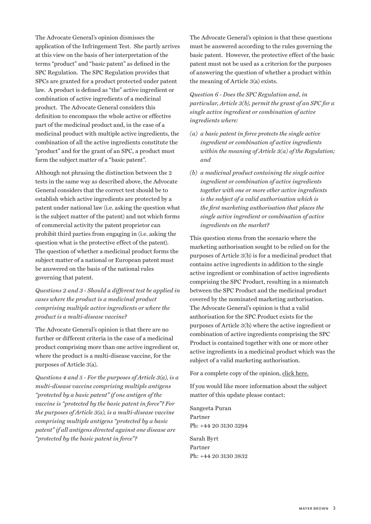The Advocate General's opinion dismisses the application of the Infringement Test. She partly arrives at this view on the basis of her interpretation of the terms "product" and "basic patent" as defined in the SPC Regulation. The SPC Regulation provides that SPCs are granted for a product protected under patent law. A product is defined as "the" active ingredient or combination of active ingredients of a medicinal product. The Advocate General considers this definition to encompass the whole active or effective part of the medicinal product and, in the case of a medicinal product with multiple active ingredients, the combination of all the active ingredients constitute the "product" and for the grant of an SPC, a product must form the subject matter of a "basic patent".

Although not phrasing the distinction between the 2 tests in the same way as described above, the Advocate General considers that the correct test should be to establish which active ingredients are protected by a patent under national law (i.e. asking the question what is the subject matter of the patent) and not which forms of commercial activity the patent proprietor can prohibit third parties from engaging in (i.e. asking the question what is the protective effect of the patent). The question of whether a medicinal product forms the subject matter of a national or European patent must be answered on the basis of the national rules governing that patent.

*Questions 2 and 3 - Should a different test be applied in cases where the product is a medicinal product comprising multiple active ingredients or where the product is a multi-disease vaccine?*

The Advocate General's opinion is that there are no further or different criteria in the case of a medicinal product comprising more than one active ingredient or, where the product is a multi-disease vaccine, for the purposes of Article 3(a).

*Questions 4 and 5 - For the purposes of Article 3(a), is a multi-disease vaccine comprising multiple antigens "protected by a basic patent" if one antigen of the vaccine is "protected by the basic patent in force"? For the purposes of Article 3(a), is a multi-disease vaccine comprising multiple antigens "protected by a basic patent" if all antigens directed against one disease are "protected by the basic patent in force"?*

The Advocate General's opinion is that these questions must be answered according to the rules governing the basic patent. However, the protective effect of the basic patent must not be used as a criterion for the purposes of answering the question of whether a product within the meaning of Article 3(a) exists.

*Question 6 - Does the SPC Regulation and, in particular, Article 3(b), permit the grant of an SPC for a single active ingredient or combination of active ingredients where:*

- *(a) a basic patent in force protects the single active ingredient or combination of active ingredients within the meaning of Article 3(a) of the Regulation; and*
- *(b) a medicinal product containing the single active ingredient or combination of active ingredients together with one or more other active ingredients is the subject of a valid authorisation which is the first marketing authorisation that places the single active ingredient or combination of active ingredients on the market?*

This question stems from the scenario where the marketing authorisation sought to be relied on for the purposes of Article 3(b) is for a medicinal product that contains active ingredients in addition to the single active ingredient or combination of active ingredients comprising the SPC Product, resulting in a mismatch between the SPC Product and the medicinal product covered by the nominated marketing authorisation. The Advocate General's opinion is that a valid authorisation for the SPC Product exists for the purposes of Article 3(b) where the active ingredient or combination of active ingredients comprising the SPC Product is contained together with one or more other active ingredients in a medicinal product which was the subject of a valid marketing authorisation.

For a complete copy of the opinion, [click here](http://curia.europa.eu/jurisp/cgi-bin/form.pl?lang=en&newform=newform&Submit=Submit&alljur=alljur&jurcdj=jurcdj&jurtpi=jurtpi&jurtfp=jurtfp&alldocrec=alldocrec&docj=docj&docor=docor&docdecision=docdecision&docop=docop&docppoag=docppoag&docav=docav&docsom=docsom&docinf=docinf&alldocnorec=alldocnorec&docnoj=docnoj&docnoor=docnoor&radtypeord=on&typeord=ALL&docnodecision=docnodecision&allcommjo=allcommjo&affint=affint&affclose=affclose&numaff=322%2F10&ddatefs=&mdatefs=&ydatefs=&ddatefe=&mdatefe=&ydatefe=&nomusuel=&domaine=&mots=&resmax=100).

If you would like more information about the subject matter of this update please contact:

[Sangeeta Puran](mailto:SPuran@mayerbrown.com) Partner Ph: +44 20 3130 3294

[Sarah Byrt](mailto:SByrt@mayerbrown.com) Partner Ph: +44 20 3130 3832